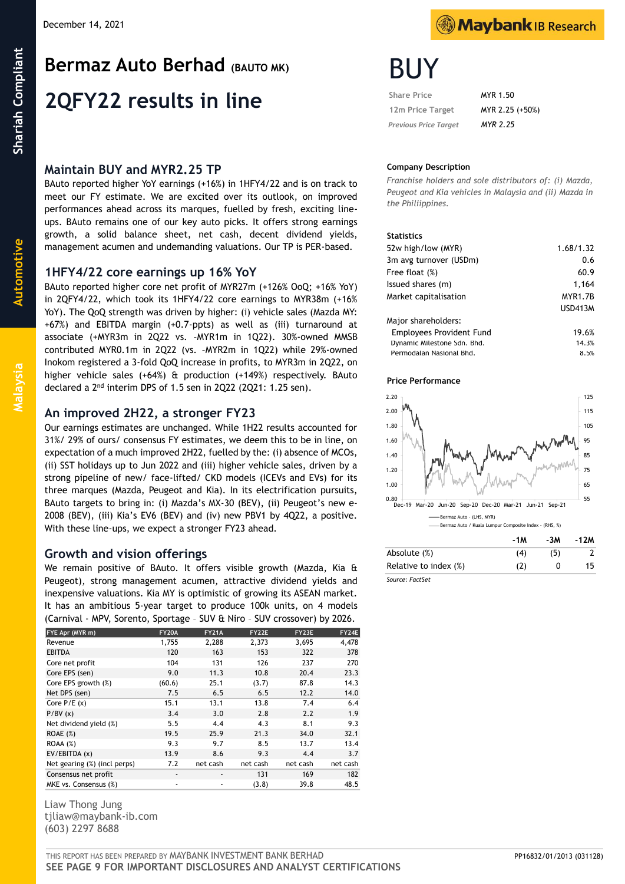## **Maintain BUY and MYR2.25 TP**

BAuto reported higher YoY earnings (+16%) in 1HFY4/22 and is on track to meet our FY estimate. We are excited over its outlook, on improved performances ahead across its marques, fuelled by fresh, exciting lineups. BAuto remains one of our key auto picks. It offers strong earnings growth, a solid balance sheet, net cash, decent dividend yields, management acumen and undemanding valuations. Our TP is PER-based.

## **1HFY4/22 core earnings up 16% YoY**

BAuto reported higher core net profit of MYR27m (+126% OoQ; +16% YoY) in 2QFY4/22, which took its 1HFY4/22 core earnings to MYR38m (+16% YoY). The QoQ strength was driven by higher: (i) vehicle sales (Mazda MY: +67%) and EBITDA margin (+0.7-ppts) as well as (iii) turnaround at associate (+MYR3m in 2Q22 vs. –MYR1m in 1Q22). 30%-owned MMSB contributed MYR0.1m in 2Q22 (vs. –MYR2m in 1Q22) while 29%-owned Inokom registered a 3-fold QoQ increase in profits, to MYR3m in 2Q22, on higher vehicle sales (+64%) & production (+149%) respectively. BAuto declared a 2nd interim DPS of 1.5 sen in 2Q22 (2Q21: 1.25 sen).

## **An improved 2H22, a stronger FY23**

Our earnings estimates are unchanged. While 1H22 results accounted for 31%/ 29% of ours/ consensus FY estimates, we deem this to be in line, on expectation of a much improved 2H22, fuelled by the: (i) absence of MCOs, (ii) SST holidays up to Jun 2022 and (iii) higher vehicle sales, driven by a strong pipeline of new/ face-lifted/ CKD models (ICEVs and EVs) for its three marques (Mazda, Peugeot and Kia). In its electrification pursuits, BAuto targets to bring in: (i) Mazda's MX-30 (BEV), (ii) Peugeot's new e-2008 (BEV), (iii) Kia's EV6 (BEV) and (iv) new PBV1 by 4Q22, a positive. With these line-ups, we expect a stronger FY23 ahead.

## **Growth and vision offerings**

We remain positive of BAuto. It offers visible growth (Mazda, Kia & Peugeot), strong management acumen, attractive dividend yields and inexpensive valuations. Kia MY is optimistic of growing its ASEAN market. It has an ambitious 5-year target to produce 100k units, on 4 models (Carnival - MPV, Sorento, Sportage – SUV & Niro – SUV crossover) by 2026.

| FYE Apr (MYR m)              | <b>FY20A</b> | <b>FY21A</b>             | FY22E    | FY23E    | FY24E    |
|------------------------------|--------------|--------------------------|----------|----------|----------|
| Revenue                      | 1,755        | 2,288                    | 2,373    | 3,695    | 4,478    |
| <b>EBITDA</b>                | 120          | 163                      | 153      | 322      | 378      |
| Core net profit              | 104          | 131                      | 126      | 237      | 270      |
| Core EPS (sen)               | 9.0          | 11.3                     | 10.8     | 20.4     | 23.3     |
| Core EPS growth (%)          | (60.6)       | 25.1                     | (3.7)    | 87.8     | 14.3     |
| Net DPS (sen)                | 7.5          | 6.5                      | 6.5      | 12.2     | 14.0     |
| Core $P/E(x)$                | 15.1         | 13.1                     | 13.8     | 7.4      | 6.4      |
| P/BV(x)                      | 3.4          | 3.0                      | 2.8      | 2.2      | 1.9      |
| Net dividend yield (%)       | 5.5          | 4.4                      | 4.3      | 8.1      | 9.3      |
| ROAE(%)                      | 19.5         | 25.9                     | 21.3     | 34.0     | 32.1     |
| ROAA(%)                      | 9.3          | 9.7                      | 8.5      | 13.7     | 13.4     |
| EV/EBITDA (x)                | 13.9         | 8.6                      | 9.3      | 4.4      | 3.7      |
| Net gearing (%) (incl perps) | 7.2          | net cash                 | net cash | net cash | net cash |
| Consensus net profit         | ٠            | $\overline{\phantom{a}}$ | 131      | 169      | 182      |
| MKE vs. Consensus (%)        | ٠            |                          | (3.8)    | 39.8     | 48.5     |

Liaw Thong Jung tjliaw@maybank-ib.com (603) 2297 8688



 **Share Price** MYR 1.50  **12m Price Target** MYR 2.25 (+50%)  *Previous Price Target MYR 2.25*

#### **Company Description**

*Franchise holders and sole distributors of: (i) Mazda, Peugeot and Kia vehicles in Malaysia and (ii) Mazda in the Philiippines.*

#### **Statistics**

| 52w high/low (MYR)              | 1.68/1.32       |
|---------------------------------|-----------------|
| 3m avg turnover (USDm)          | 0.6             |
| Free float (%)                  | 60.9            |
| Issued shares (m)               | 1,164           |
| Market capitalisation           | <b>MYR1.7B</b>  |
|                                 | <b>LISD413M</b> |
| Major shareholders:             |                 |
| <b>Employees Provident Fund</b> | 19.6%           |
| Dynamic Milestone Sdn. Bhd.     | 14.3%           |
| Permodalan Nasional Bhd.        | 8.5%            |

#### **Price Performance**



*Source: FactSet*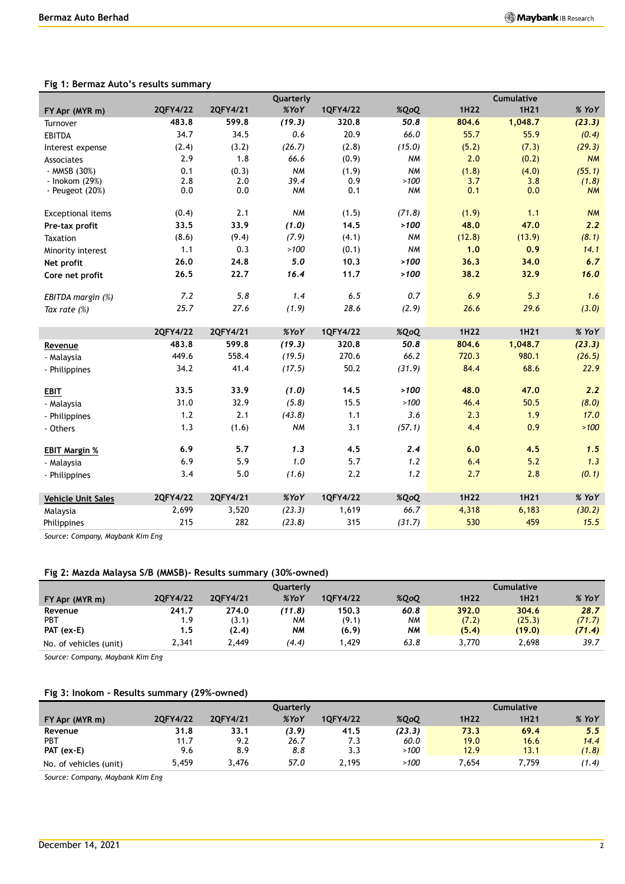|                           |          |          | Quarterly |          |           |        | Cumulative |           |
|---------------------------|----------|----------|-----------|----------|-----------|--------|------------|-----------|
| FY Apr (MYR m)            | 2QFY4/22 | 2QFY4/21 | %YoY      | 1QFY4/22 | %QoQ      | 1H22   | 1H21       | % YoY     |
| Turnover                  | 483.8    | 599.8    | (19.3)    | 320.8    | 50.8      | 804.6  | 1,048.7    | (23.3)    |
| <b>EBITDA</b>             | 34.7     | 34.5     | 0.6       | 20.9     | 66.0      | 55.7   | 55.9       | (0.4)     |
| Interest expense          | (2.4)    | (3.2)    | (26.7)    | (2.8)    | (15.0)    | (5.2)  | (7.3)      | (29.3)    |
| Associates                | 2.9      | 1.8      | 66.6      | (0.9)    | <b>NM</b> | 2.0    | (0.2)      | <b>NM</b> |
| - MMSB (30%)              | 0.1      | (0.3)    | <b>NM</b> | (1.9)    | <b>NM</b> | (1.8)  | (4.0)      | (55.1)    |
| - Inokom (29%)            | 2.8      | 2.0      | 39.4      | 0.9      | >100      | 3.7    | 3.8        | (1.8)     |
| - Peugeot $(20%)$         | 0.0      | 0.0      | <b>NM</b> | 0.1      | <b>NM</b> | 0.1    | 0.0        | <b>NM</b> |
| <b>Exceptional items</b>  | (0.4)    | 2.1      | <b>NM</b> | (1.5)    | (71.8)    | (1.9)  | 1.1        | <b>NM</b> |
| Pre-tax profit            | 33.5     | 33.9     | (1.0)     | 14.5     | >100      | 48.0   | 47.0       | 2.2       |
| Taxation                  | (8.6)    | (9.4)    | (7.9)     | (4.1)    | <b>NM</b> | (12.8) | (13.9)     | (8.1)     |
| Minority interest         | 1.1      | 0.3      | >100      | (0.1)    | <b>NM</b> | 1.0    | 0.9        | 14.1      |
| Net profit                | 26.0     | 24.8     | 5.0       | 10.3     | >100      | 36.3   | 34.0       | 6.7       |
| Core net profit           | 26.5     | 22.7     | 16.4      | 11.7     | >100      | 38.2   | 32.9       | 16.0      |
|                           |          |          |           |          |           |        |            |           |
| EBITDA margin (%)         | 7.2      | 5.8      | 1,4       | 6.5      | 0.7       | 6.9    | 5.3        | 1.6       |
| Tax rate $(\%)$           | 25.7     | 27.6     | (1.9)     | 28.6     | (2.9)     | 26.6   | 29.6       | (3.0)     |
|                           | 2QFY4/22 | 2QFY4/21 | XYoY      | 1QFY4/22 | %QoQ      | 1H22   | 1H21       | % YoY     |
|                           |          |          |           |          |           |        |            |           |
|                           |          |          |           |          |           |        |            |           |
| Revenue                   | 483.8    | 599.8    | (19.3)    | 320.8    | 50.8      | 804.6  | 1,048.7    | (23.3)    |
| - Malaysia                | 449.6    | 558.4    | (19.5)    | 270.6    | 66.2      | 720.3  | 980.1      | (26.5)    |
| - Philippines             | 34.2     | 41.4     | (17.5)    | 50.2     | (31.9)    | 84.4   | 68.6       | 22.9      |
| <b>EBIT</b>               | 33.5     | 33.9     | (1.0)     | 14.5     | >100      | 48.0   | 47.0       | 2.2       |
| - Malaysia                | 31.0     | 32.9     | (5.8)     | 15.5     | >100      | 46.4   | 50.5       | (8.0)     |
| - Philippines             | 1.2      | 2.1      | (43.8)    | 1.1      | 3.6       | 2.3    | 1.9        | 17.0      |
| - Others                  | 1.3      | (1.6)    | <b>NM</b> | 3.1      | (57.1)    | 4.4    | 0.9        | >100      |
|                           |          |          |           |          |           |        |            |           |
| <b>EBIT Margin %</b>      | 6.9      | 5.7      | 1.3       | 4.5      | 2.4       | 6.0    | 4.5        | 1.5       |
| - Malaysia                | 6.9      | 5.9      | 1.0       | 5.7      | 1.2       | 6.4    | 5.2        | 1.3       |
| - Philippines             | 3.4      | 5.0      | (1.6)     | 2.2      | 1.2       | 2.7    | 2.8        | (0.1)     |
| <b>Vehicle Unit Sales</b> | 2QFY4/22 | 2QFY4/21 | %YoY      | 1QFY4/22 | %QoQ      | 1H22   | 1H21       | % YoY     |
| Malaysia                  | 2,699    | 3,520    | (23.3)    | 1,619    | 66.7      | 4,318  | 6,183      | (30.2)    |

## **Fig 1: Bermaz Auto's results summary**

*Source: Company, Maybank Kim Eng*

## **Fig 2: Mazda Malaysa S/B (MMSB)- Results summary (30%-owned)**

|                        | Cumulative<br><b>Ouarterly</b> |          |        |          |      |       |                  |         |
|------------------------|--------------------------------|----------|--------|----------|------|-------|------------------|---------|
| FY Apr (MYR m)         | 2QFY4/22                       | 20FY4/21 | XYoY   | 10FY4/22 | %QoQ | 1H22  | 1H <sub>21</sub> | $%$ YoY |
| Revenue                | 241.7                          | 274.0    | (11.8) | 150.3    | 60.8 | 392.0 | 304.6            | 28.7    |
| <b>PBT</b>             | 1.9                            | (3.1)    | NM     | (9.1)    | NМ   | (7.2) | (25.3)           | (71.7)  |
| PAT (ex-E)             | 1.5                            | (2.4)    | NМ     | (6.9)    | NΜ   | (5.4) | (19.0)           | (71.4)  |
| No. of vehicles (unit) | 2,341                          | 2.449    | (4.4)  | .429     | 63.8 | 3,770 | 2.698            | 39.7    |

*Source: Company, Maybank Kim Eng*

## **Fig 3: Inokom - Results summary (29%-owned)**

|                        | <b>Ouarterly</b> |          |       |          |        | Cumulative        |                  |         |
|------------------------|------------------|----------|-------|----------|--------|-------------------|------------------|---------|
| FY Apr (MYR m)         | 2QFY4/22         | 20FY4/21 | XYoY  | 1QFY4/22 | %QoQ   | 1H <sub>2</sub> 2 | 1H <sub>21</sub> | $%$ YoY |
| Revenue                | 31.8             | 33.1     | (3.9) | 41.5     | (23.3) | 73.3              | 69.4             | 5.5     |
| PBT                    | 11.7             | 9.2      | 26.7  | 7.3      | 60.0   | 19.0              | 16.6             | 14.4    |
| PAT (ex-E)             | 9.6              | 8.9      | 8.8   | 3.3      | >100   | 12.9              | 13.1             | (1.8)   |
| No. of vehicles (unit) | 5,459            | 3,476    | 57.0  | 2.195    | >100   | $^{\prime}$ ,654  | 7.759            | (1.4)   |

*Source: Company, Maybank Kim Eng*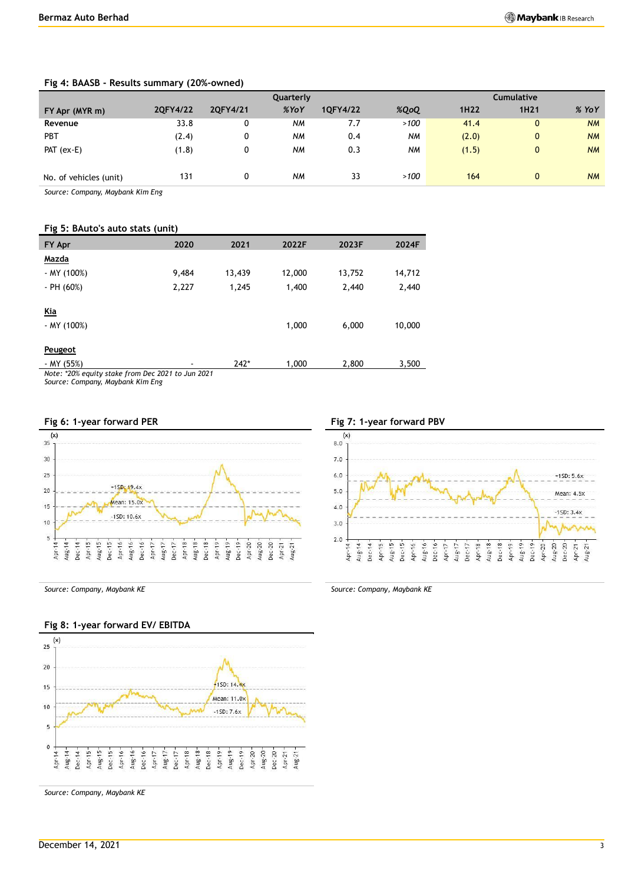|                        | <b>Cumulative</b><br>Quarterly |          |           |          |           |                   |                  |           |
|------------------------|--------------------------------|----------|-----------|----------|-----------|-------------------|------------------|-----------|
| FY Apr (MYR m)         | 2QFY4/22                       | 2QFY4/21 | %YoY      | 1QFY4/22 | %QoQ      | 1H <sub>2</sub> 2 | 1H <sub>21</sub> | $%$ YoY   |
| Revenue                | 33.8                           | 0        | <b>NM</b> | 7.7      | >100      | 41.4              | $\overline{0}$   | <b>NM</b> |
| <b>PBT</b>             | (2.4)                          | 0        | <b>NM</b> | 0.4      | <b>NM</b> | (2.0)             | $\overline{0}$   | <b>NM</b> |
| PAT $(ex-E)$           | (1.8)                          | 0        | <b>NM</b> | 0.3      | <b>NM</b> | (1.5)             | $\mathbf{0}$     | <b>NM</b> |
| No. of vehicles (unit) | 131                            |          | <b>NM</b> | 33       | >100      | 164               | $\mathbf{0}$     | <b>NM</b> |

### **Fig 4: BAASB - Results summary (20%-owned)**

*Source: Company, Maybank Kim Eng*

#### **Fig 5: BAuto's auto stats (unit)**

| FY Apr                                            | 2020  | 2021   | 2022F  | 2023F  | 2024F  |
|---------------------------------------------------|-------|--------|--------|--------|--------|
| Mazda                                             |       |        |        |        |        |
| - MY (100%)                                       | 9,484 | 13,439 | 12,000 | 13,752 | 14,712 |
| $-$ PH (60%)                                      | 2,227 | 1,245  | 1,400  | 2,440  | 2,440  |
| Kia<br>- MY (100%)                                |       |        | 1,000  | 6,000  | 10,000 |
| Peugeot                                           |       |        |        |        |        |
| - MY (55%)                                        |       | $242*$ | 1,000  | 2,800  | 3,500  |
| Note: *20% equity stake from Dec 2021 to Jun 2021 |       |        |        |        |        |

*Source: Company, Maybank Kim Eng*





## **Fig 8: 1-year forward EV/ EBITDA**



*Source: Company, Maybank KE Source: Company, Maybank KE*

*Source: Company, Maybank KE*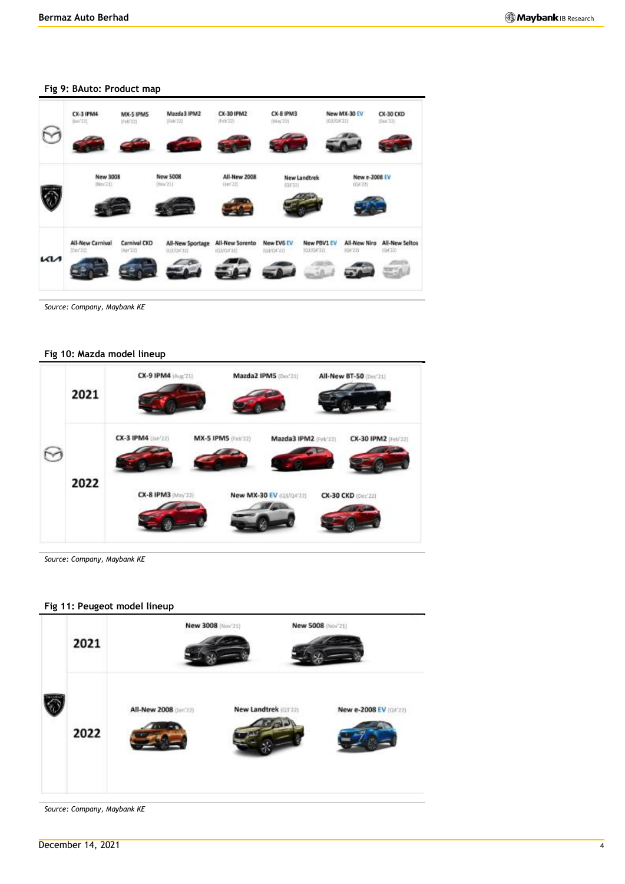

#### **Fig 9: BAuto: Product map**

*Source: Company, Maybank KE*

### **Fig 10: Mazda model lineup**



*Source: Company, Maybank KE*

### **Fig 11: Peugeot model lineup**



*Source: Company, Maybank KE*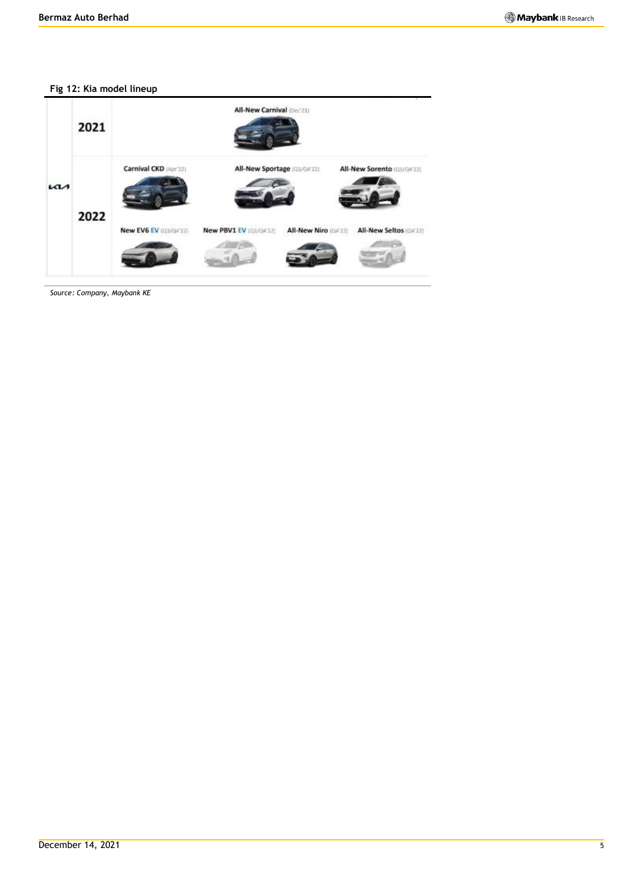## **Fig 12: Kia model lineup**



*Source: Company, Maybank KE*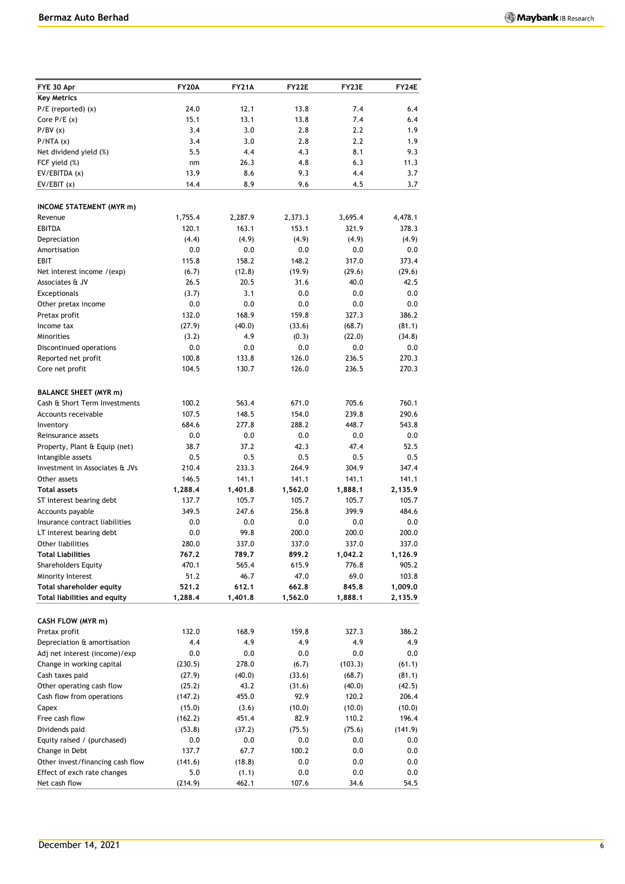| FYE 30 Apr                                                      | <b>FY20A</b>   | <b>FY21A</b>    | <b>FY22E</b>   | FY23E            | FY24E          |
|-----------------------------------------------------------------|----------------|-----------------|----------------|------------------|----------------|
| <b>Key Metrics</b>                                              |                |                 |                |                  |                |
| $P/E$ (reported) $(x)$                                          | 24.0           | 12.1            | 13.8           | 7.4              | 6.4            |
| Core $P/E(x)$<br>P/BV(x)                                        | 15.1<br>3.4    | 13.1<br>3.0     | 13.8<br>2.8    | 7.4<br>2.2       | 6.4<br>1.9     |
| P/NTA(x)                                                        | 3.4            | 3.0             | 2.8            | 2.2              | 1.9            |
| Net dividend yield (%)                                          | 5.5            | 4.4             | 4.3            | 8.1              | 9.3            |
| FCF yield (%)                                                   | nm             | 26.3            | 4.8            | 6.3              | 11.3           |
| EV/EBITDA (x)                                                   | 13.9           | 8.6             | 9.3            | 4.4              | 3.7            |
| EV/EBIT(x)                                                      | 14.4           | 8.9             | 9.6            | 4.5              | 3.7            |
| <b>INCOME STATEMENT (MYR m)</b>                                 |                |                 |                |                  |                |
| Revenue                                                         | 1,755.4        | 2,287.9         | 2,373.3        | 3,695.4          | 4,478.1        |
| <b>EBITDA</b>                                                   | 120.1          | 163.1           | 153.1          | 321.9            | 378.3          |
| Depreciation                                                    | (4.4)          | (4.9)           | (4.9)          | (4.9)            | (4.9)          |
| Amortisation                                                    | 0.0            | 0.0             | 0.0            | 0.0              | 0.0            |
| EBIT                                                            | 115.8          | 158.2           | 148.2          | 317.0            | 373.4          |
| Net interest income /(exp)                                      | (6.7)          | (12.8)          | (19.9)         | (29.6)           | (29.6)         |
| Associates & JV                                                 | 26.5           | 20.5            | 31.6           | 40.0             | 42.5           |
| Exceptionals                                                    | (3.7)          | 3.1             | 0.0            | 0.0              | 0.0            |
| Other pretax income                                             | 0.0            | 0.0             | 0.0            | 0.0              | 0.0            |
| Pretax profit                                                   | 132.0          | 168.9           | 159.8          | 327.3            | 386.2          |
| Income tax<br><b>Minorities</b>                                 | (27.9)         | (40.0)<br>4.9   | (33.6)         | (68.7)<br>(22.0) | (81.1)         |
| Discontinued operations                                         | (3.2)<br>0.0   | 0.0             | (0.3)<br>0.0   | 0.0              | (34.8)<br>0.0  |
| Reported net profit                                             | 100.8          | 133.8           | 126.0          | 236.5            | 270.3          |
| Core net profit                                                 | 104.5          | 130.7           | 126.0          | 236.5            | 270.3          |
| <b>BALANCE SHEET (MYR m)</b>                                    |                |                 |                |                  |                |
| Cash & Short Term Investments                                   | 100.2          | 563.4           | 671.0          | 705.6            | 760.1          |
| Accounts receivable                                             | 107.5          | 148.5           | 154.0          | 239.8            | 290.6          |
| Inventory                                                       | 684.6          | 277.8           | 288.2          | 448.7            | 543.8          |
| Reinsurance assets                                              | 0.0            | 0.0             | 0.0            | 0.0              | 0.0            |
| Property, Plant & Equip (net)                                   | 38.7           | 37.2            | 42.3           | 47.4             | 52.5           |
| Intangible assets                                               | 0.5            | 0.5             | 0.5            | 0.5              | 0.5            |
| Investment in Associates & JVs                                  | 210.4          | 233.3           | 264.9          | 304.9            | 347.4          |
| Other assets                                                    | 146.5          | 141.1           | 141.1          | 141.1            | 141.1          |
| <b>Total assets</b>                                             | 1,288.4        | 1,401.8         | 1,562.0        | 1,888.1          | 2,135.9        |
| ST interest bearing debt                                        | 137.7          | 105.7           | 105.7          | 105.7            | 105.7          |
| Accounts payable                                                | 349.5          | 247.6           | 256.8          | 399.9            | 484.6          |
| Insurance contract liabilities                                  | 0.0            | 0.0             | 0.0            | 0.0              | 0.0            |
| LT interest bearing debt                                        | 0.0<br>280.0   | 99.8<br>337.0   | 200.0<br>337.0 | 200.0<br>337.0   | 200.0<br>337.0 |
| Other liabilities<br><b>Total Liabilities</b>                   | 767.2          | 789.7           | 899.2          | 1,042.2          | 1,126.9        |
| <b>Shareholders Equity</b>                                      | 470.1          | 565.4           | 615.9          | 776.8            | 905.2          |
| Minority Interest                                               | 51.2           | 46.7            | 47.0           | 69.0             | 103.8          |
| Total shareholder equity                                        | 521.2          | 612.1           | 662.8          | 845.8            | 1,009.0        |
| Total liabilities and equity                                    | 1,288.4        | 1,401.8         | 1,562.0        | 1,888.1          | 2,135.9        |
| CASH FLOW (MYR m)                                               |                |                 |                |                  |                |
| Pretax profit                                                   | 132.0          | 168.9           | 159.8          | 327.3            | 386.2          |
| Depreciation & amortisation                                     | 4.4            | 4.9             | 4.9            | 4.9              | 4.9            |
| Adj net interest (income)/exp                                   | 0.0            | 0.0             | 0.0            | 0.0              | 0.0            |
| Change in working capital                                       | (230.5)        | 278.0           | (6.7)          | (103.3)          | (61.1)         |
| Cash taxes paid                                                 | (27.9)         | (40.0)          | (33.6)         | (68.7)           | (81.1)         |
| Other operating cash flow                                       | (25.2)         | 43.2            | (31.6)         | (40.0)           | (42.5)         |
| Cash flow from operations                                       | (147.2)        | 455.0           | 92.9           | 120.2            | 206.4          |
| Capex                                                           | (15.0)         | (3.6)           | (10.0)         | (10.0)           | (10.0)         |
| Free cash flow                                                  | (162.2)        | 451.4           | 82.9           | 110.2            | 196.4          |
| Dividends paid                                                  | (53.8)         | (37.2)          | (75.5)         | (75.6)           | (141.9)        |
| Equity raised / (purchased)                                     | 0.0            | 0.0             | 0.0            | 0.0              | 0.0            |
| Change in Debt                                                  | 137.7          | 67.7            | 100.2          | 0.0              | 0.0            |
| Other invest/financing cash flow<br>Effect of exch rate changes | (141.6)<br>5.0 | (18.8)<br>(1.1) | 0.0<br>0.0     | 0.0<br>0.0       | 0.0<br>0.0     |
| Net cash flow                                                   | (214.9)        | 462.1           | 107.6          | 34.6             | 54.5           |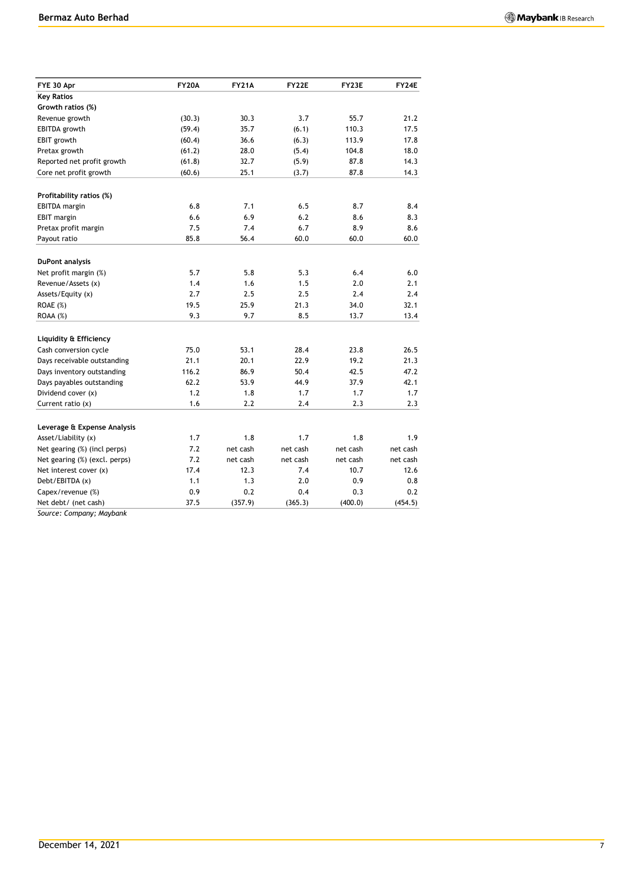| FYE 30 Apr                    | <b>FY20A</b> | <b>FY21A</b> | <b>FY22E</b> | FY23E        | FY24E        |
|-------------------------------|--------------|--------------|--------------|--------------|--------------|
| <b>Key Ratios</b>             |              |              |              |              |              |
| Growth ratios (%)             |              |              |              |              |              |
| Revenue growth                | (30.3)       | 30.3         | 3.7          | 55.7         | 21.2         |
| EBITDA growth                 | (59.4)       | 35.7         | (6.1)        | 110.3        | 17.5         |
| EBIT growth                   | (60.4)       | 36.6         | (6.3)        | 113.9        | 17.8         |
| Pretax growth                 | (61.2)       | 28.0         | (5.4)        | 104.8        | 18.0         |
| Reported net profit growth    | (61.8)       | 32.7         | (5.9)        | 87.8         | 14.3         |
| Core net profit growth        | (60.6)       | 25.1         | (3.7)        | 87.8         | 14.3         |
| Profitability ratios (%)      |              |              |              |              |              |
| <b>EBITDA</b> margin          | 6.8          | 7.1          | 6.5          | 8.7          | 8.4          |
| <b>EBIT</b> margin            | 6.6          | 6.9          | 6.2          | 8.6          | 8.3          |
| Pretax profit margin          | 7.5          | 7.4          | 6.7          | 8.9          | 8.6          |
| Payout ratio                  | 85.8         | 56.4         | 60.0         | 60.0         | 60.0         |
|                               |              |              |              |              |              |
| DuPont analysis               | 5.7          | 5.8          | 5.3          | 6.4          | 6.0          |
| Net profit margin (%)         |              |              |              |              |              |
| Revenue/Assets (x)            | 1.4<br>2.7   | 1.6<br>2.5   | 1.5<br>2.5   | 2.0<br>2.4   | 2.1<br>2.4   |
| Assets/Equity (x)             |              |              |              |              |              |
| ROAE (%)<br>ROAA (%)          | 19.5<br>9.3  | 25.9<br>9.7  | 21.3<br>8.5  | 34.0<br>13.7 | 32.1<br>13.4 |
|                               |              |              |              |              |              |
| Liquidity & Efficiency        |              |              |              |              |              |
| Cash conversion cycle         | 75.0         | 53.1         | 28.4         | 23.8         | 26.5         |
| Days receivable outstanding   | 21.1         | 20.1         | 22.9         | 19.2         | 21.3         |
| Days inventory outstanding    | 116.2        | 86.9         | 50.4         | 42.5         | 47.2         |
| Days payables outstanding     | 62.2         | 53.9         | 44.9         | 37.9         | 42.1         |
| Dividend cover (x)            | 1.2          | 1.8          | 1.7          | 1.7          | 1.7          |
| Current ratio $(x)$           | 1.6          | 2.2          | 2.4          | 2.3          | 2.3          |
| Leverage & Expense Analysis   |              |              |              |              |              |
| Asset/Liability (x)           | 1.7          | 1.8          | 1.7          | 1.8          | 1.9          |
| Net gearing (%) (incl perps)  | 7.2          | net cash     | net cash     | net cash     | net cash     |
| Net gearing (%) (excl. perps) | 7.2          | net cash     | net cash     | net cash     | net cash     |
| Net interest cover (x)        | 17.4         | 12.3         | 7.4          | 10.7         | 12.6         |
| Debt/EBITDA (x)               | 1.1          | 1.3          | 2.0          | 0.9          | 0.8          |
| Capex/revenue (%)             | 0.9          | 0.2          | 0.4          | 0.3          | 0.2          |
| Net debt/ (net cash)          | 37.5         | (357.9)      | (365.3)      | (400.0)      | (454.5)      |

*Source: Company; Maybank*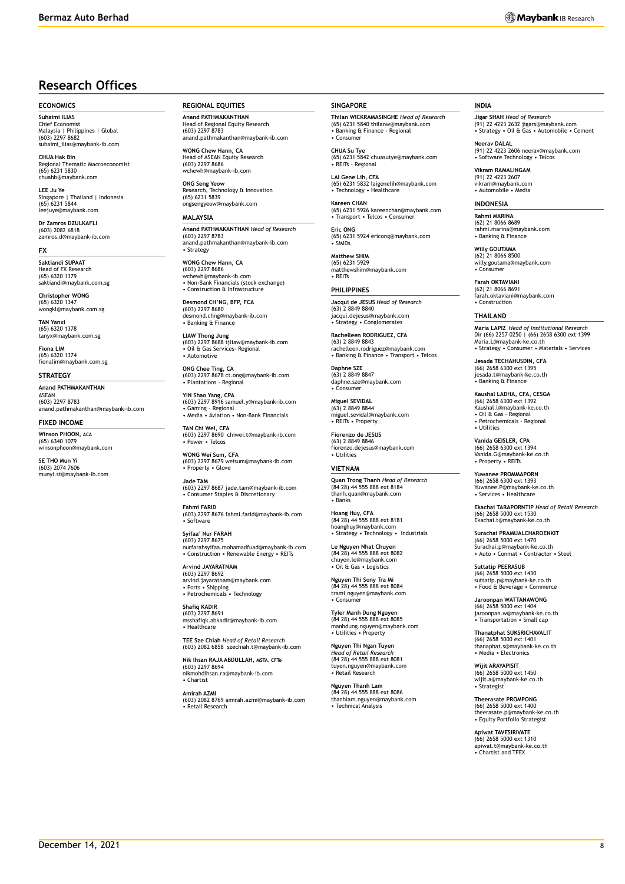# **Research Offices**

#### **ECONOMICS**

**Suhaimi ILIAS** Chief Economist Malaysia | Philippines | Global (603) 2297 8682 suhaimi\_ilias@maybank-ib.com

**CHUA Hak Bin** nal Thematic Macroeconomist (65) 6231 5830 chuahb@maybank.com

**LEE Ju Ye**<br>Singapore | Thailand | Indonesia<br>(65) 6231 5844 leejuye@maybank.com

**Dr Zamros DZULKAFLI**  (603) 2082 6818 zamros.d@maybank-ib.com

#### **FX**

**Saktiandi SUPAAT** Head of FX Research (65) 6320 1379 saktiandi@maybank.com.sg

**Christopher WONG** (65) 6320 1347 wongkl@maybank.com.sg

**TAN Yanxi** (65) 6320 1378 tanyx@maybank.com.sg

**Fiona LIM** (65) 6320 1374 fionalim@maybank.com.sg

#### **STRATEGY**

**Anand PATHMAKANTHAN** ASEAN (603) 2297 8783 anand.pathmakanthan@maybank-ib.com

#### **FIXED INCOME**

**Winson PHOON, ACA** (65) 6340 1079 winsonphoon@maybank.com

**SE THO Mun Yi** (603) 2074 7606 munyi.st@maybank-ib.com **REGIONAL EQUITIES**

**Anand PATHMAKANTHAN** Head of Regional Equity Research (603) 2297 8783 anand.pathmakanthan@maybank-ib.com

**WONG Chew Hann, CA** Head of ASEAN Equity Research (603) 2297 8686 zz<sub>27</sub> cooo<br>wh@maybank-ib.com

**ONG Seng Yeow** Technology & Innovation (65) 6231 5839 ongsengyeow@maybank.com

#### **MALAYSIA**

**Anand PATHMAKANTHAN** *Head of Research* (603) 2297 8783 anand.pathmakanthan@maybank-ib.com • Strategy

**WONG Chew Hann, CA** (603) 2297 8686 wchewh@maybank-ib.com • Non-Bank Financials (stock exchange) • Construction & Infrastructure

**Desmond CH'NG, BFP, FCA** (603) 2297 8680 desmond.chng@maybank-ib.com • Banking & Finance

**LIAW Thong Jung** (603) 2297 8688 tjliaw@maybank-ib.com • Oil & Gas Services- Regional • Automotive

**ONG Chee Ting, CA** (603) 2297 8678 ct.ong@maybank-ib.com • Plantations - Regional

**YIN Shao Yang, CPA** (603) 2297 8916 samuel.y@maybank-ib.com • Gaming – Regional • Media • Aviation • Non-Bank Financials

**TAN Chi Wei, CFA** (603) 2297 8690 chiwei.t@maybank-ib.com • Power • Telcos

**WONG Wei Sum, CFA** (603) 2297 8679 weisum@maybank-ib.com • Property • Glove

**Jade TAM** (603) 2297 8687 jade.tam@maybank-ib.com • Consumer Staples & Discretionary

**Fahmi FARID** (603) 2297 8676 fahmi.farid@maybank-ib.com • Software

**Syifaa' Nur FARAH** (603) 2297 8675 nurfarahsyifaa.mohamadfuad@maybank-ib.com • Construction • Renewable Energy • REITs

**Arvind JAYARATNAM** (603) 2297 8692 arvind.jayaratnam@maybank.com • Ports • Shipping • Petrochemicals • Technology

**Shafiq KADIR** (603) 2297 8691 msshafiqk.abkadir@maybank-ib.com • Healthcare

**TEE Sze Chiah** *Head of Retail Research* (603) 2082 6858 szechiah.t@maybank-ib.com

**Nik Ihsan RAJA ABDULLAH, MSTA, CFTe** (603) 2297 8694 nikmohdihsan.ra@maybank-ib.com • Chartist

**Amirah AZMI** (603) 2082 8769 amirah.azmi@maybank-ib.com • Retail Research

#### **SINGAPORE**

**Thilan WICKRAMASINGHE** *Head of Research* (65) 6231 5840 thilanw@maybank.com • Banking & Finance - Regional • Consumer

**CHUA Su Tye**  (65) 6231 5842 chuasutye@maybank.com • REITs - Regional

**LAI Gene Lih, CFA** (65) 6231 5832 laigenelih@maybank.com • Technology • Healthcare

**Kareen CHAN** (65) 6231 5926 kareenchan@maybank.com • Transport • Telcos • Consumer

**Eric ONG** (65) 6231 5924 ericong@maybank.com • SMIDs

**Matthew SHIM** (65) 6231 5929 matthewshim@maybank.com • REITs

**PHILIPPINES Jacqui de JESUS** *Head of Research* (63) 2 8849 8840 jacqui.dejesus@maybank.com • Strategy • Conglomerates

**Rachelleen RODRIGUEZ, CFA** (63) 2 8849 8843 rachelleen.rodriguez@maybank.com • Banking & Finance • Transport • Telcos

**Daphne SZE** (63) 2 8849 8847 daphne.sze@maybank.com • Consumer

**Miguel SEVIDAL** (63) 2 8849 8844 miguel.sevidal@maybank.com • REITs • Property

**Fiorenzo de JESUS** (63) 2 8849 8846 fiorenzo.dejesus@maybank.com • Utilities

#### **VIETNAM**

**Quan Trong Thanh** *Head of Research* (84 28) 44 555 888 ext 8184 thanh.quan@maybank.com • Banks

**Hoang Huy, CFA** (84 28) 44 555 888 ext 8181 hoanghuy@maybank.com • Strategy • Technology • Industrials

**Le Nguyen Nhat Chuyen** (84 28) 44 555 888 ext 8082 chuyen.le@maybank.com • Oil & Gas • Logistics

**Nguyen Thi Sony Tra Mi** (84 28) 44 555 888 ext 8084 trami.nguyen@maybank.com • Consumer

**Tyler Manh Dung Nguyen** (84 28) 44 555 888 ext 8085 manhdung.nguyen@maybank.com • Utilities • Property

**Nguyen Thi Ngan Tuyen** *Head of Retail Research* (84 28) 44 555 888 ext 8081 tuyen.nguyen@maybank.com • Retail Research

**Nguyen Thanh Lam** (84 28) 44 555 888 ext 8086 thanhlam.nguyen@maybank.com • Technical Analysis

#### **INDIA**

**Jigar SHAH** *Head of Research* (91) 22 4223 2632 jigars@maybank.com • Strategy • Oil & Gas • Automobile • Cement

**Neerav DALAL** (91) 22 4223 2606 neerav@maybank.com • Software Technology • Telcos

**Vikram RAMALINGAM** (91) 22 4223 2607 vikram@maybank.com • Automobile • Media

#### **INDONESIA**

**Rahmi MARINA** (62) 21 8066 8689 rahmi.marina@maybank.com • Banking & Finance

**Willy GOUTAMA** (62) 21 8066 8500 willy.goutama@maybank.com • Consumer

**Farah OKTAVIANI** (62) 21 8066 8691 farah.oktaviani@maybank.com • Construction

#### **THAILAND**

**Maria LAPIZ** *Head of Institutional Research* Dir (66) 2257 0250 | (66) 2658 6300 ext 1399 Maria.L@maybank-ke.co.th • Strategy • Consumer • Materials • Services

**Jesada TECHAHUSDIN, CFA** (66) 2658 6300 ext 1395 jesada.t@maybank-ke.co.th • Banking & Finance

**Kaushal LADHA, CFA, CESGA** (66) 2658 6300 ext 1392 Kaushal.l@maybank-ke.co.th • Oil & Gas – Regional • Petrochemicals - Regional • Utilities

**Vanida GEISLER, CPA** (66) 2658 6300 ext 1394 Vanida.G@maybank-ke.co.th • Property • RFITs

**Yuwanee PROMMAPORN** (66) 2658 6300 ext 1393 Yuwanee.P@maybank-ke.co.th • Services • Healthcare

**Ekachai TARAPORNTIP** *Head of Retail Research* (66) 2658 5000 ext 1530 Ekachai.t@maybank-ke.co.th

**Surachai PRAMUALCHAROENKIT**  (66) 2658 5000 ext 1470 Surachai.p@maybank-ke.co.th • Auto • Conmat • Contractor • Steel

**Suttatip PEERASUB** (66) 2658 5000 ext 1430 suttatip.p@maybank-ke.co.th • Food & Beverage • Commerce

**Jaroonpan WATTANAWONG** (66) 2658 5000 ext 1404 jaroonpan.w@maybank-ke.co.th • Transportation • Small cap

**Thanatphat SUKSRICHAVALIT** (66) 2658 5000 ext 1401 thanaphat.s@maybank-ke.co.th • Media • Electronics

**Wijit ARAYAPISIT** (66) 2658 5000 ext 1450 wijit.a@maybank-ke.co.th • Strategist

**Theerasate PROMPONG** (66) 2658 5000 ext 1400 theerasate.p@maybank-ke.co.th • Equity Portfolio Strategist

**Apiwat TAVESIRIVATE** (66) 2658 5000 ext 1310 apiwat.t@maybank-ke.co.th • Chartist and TFEX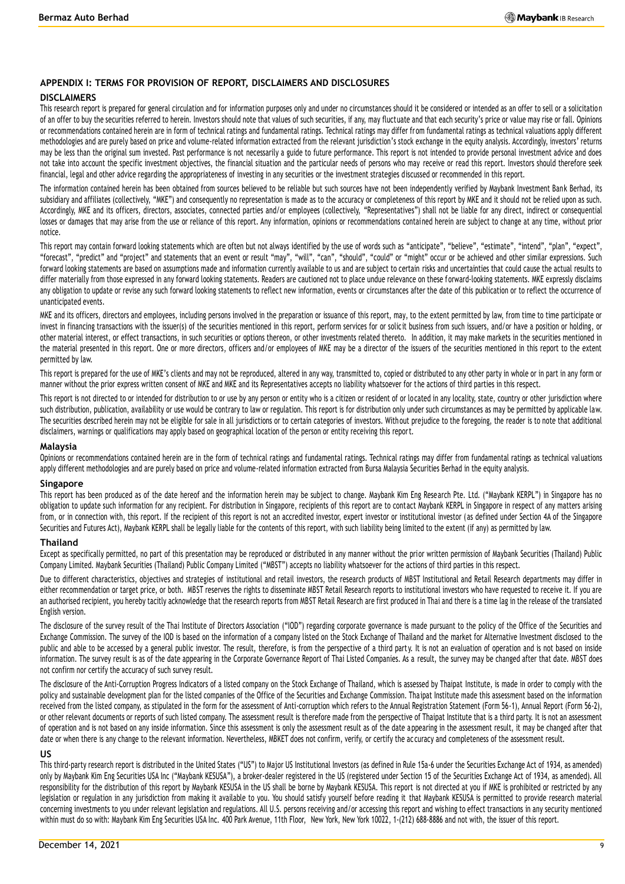#### **APPENDIX I: TERMS FOR PROVISION OF REPORT, DISCLAIMERS AND DISCLOSURES**

#### **DISCLAIMERS**

This research report is prepared for general circulation and for information purposes only and under no circumstances should it be considered or intended as an offer to sell or a solicitation of an offer to buy the securities referred to herein. Investors should note that values of such securities, if any, may fluctuate and that each security's price or value may rise or fall. Opinions or recommendations contained herein are in form of technical ratings and fundamental ratings. Technical ratings may differ from fundamental ratings as technical valuations apply different methodologies and are purely based on price and volume-related information extracted from the relevant jurisdiction's stock exchange in the equity analysis. Accordingly, investors' returns may be less than the original sum invested. Past performance is not necessarily a guide to future performance. This report is not intended to provide personal investment advice and does not take into account the specific investment objectives, the financial situation and the particular needs of persons who may receive or read this report. Investors should therefore seek financial, legal and other advice regarding the appropriateness of investing in any securities or the investment strategies discussed or recommended in this report.

The information contained herein has been obtained from sources believed to be reliable but such sources have not been independently verified by Maybank Investment Bank Berhad, its subsidiary and affiliates (collectively, "MKE") and consequently no representation is made as to the accuracy or completeness of this report by MKE and it should not be relied upon as such. Accordingly, MKE and its officers, directors, associates, connected parties and/or employees (collectively, "Representatives") shall not be liable for any direct, indirect or consequential losses or damages that may arise from the use or reliance of this report. Any information, opinions or recommendations contained herein are subject to change at any time, without prior notice.

This report may contain forward looking statements which are often but not always identified by the use of words such as "anticipate", "believe", "estimate", "intend", "plan", "expect", "forecast", "predict" and "project" and statements that an event or result "may", "will", "can", "should", "could" or "might" occur or be achieved and other similar expressions. Such forward looking statements are based on assumptions made and information currently available to us and are subject to certain risks and uncertainties that could cause the actual results to differ materially from those expressed in any forward looking statements. Readers are cautioned not to place undue relevance on these forward-looking statements. MKE expressly disclaims any obligation to update or revise any such forward looking statements to reflect new information, events or circumstances after the date of this publication or to reflect the occurrence of unanticipated events.

MKE and its officers, directors and employees, including persons involved in the preparation or issuance of this report, may, to the extent permitted by law, from time to time participate or invest in financing transactions with the issuer(s) of the securities mentioned in this report, perform services for or solicit business from such issuers, and/or have a position or holding, or other material interest, or effect transactions, in such securities or options thereon, or other investments related thereto. In addition, it may make markets in the securities mentioned in the material presented in this report. One or more directors, officers and/or employees of MKE may be a director of the issuers of the securities mentioned in this report to the extent permitted by law.

This report is prepared for the use of MKE's clients and may not be reproduced, altered in any way, transmitted to, copied or distributed to any other party in whole or in part in any form or manner without the prior express written consent of MKE and MKE and its Representatives accepts no liability whatsoever for the actions of third parties in this respect.

This report is not directed to or intended for distribution to or use by any person or entity who is a citizen or resident of or located in any locality, state, country or other jurisdiction where such distribution, publication, availability or use would be contrary to law or regulation. This report is for distribution only under such circumstances as may be permitted by applicable law. The securities described herein may not be eligible for sale in all jurisdictions or to certain categories of investors. With out prejudice to the foregoing, the reader is to note that additional disclaimers, warnings or qualifications may apply based on geographical location of the person or entity receiving this report.

#### **Malaysia**

Opinions or recommendations contained herein are in the form of technical ratings and fundamental ratings. Technical ratings may differ from fundamental ratings as technical valuations apply different methodologies and are purely based on price and volume-related information extracted from Bursa Malaysia Securities Berhad in the equity analysis.

#### **Singapore**

This report has been produced as of the date hereof and the information herein may be subject to change. Maybank Kim Eng Research Pte. Ltd. ("Maybank KERPL") in Singapore has no obligation to update such information for any recipient. For distribution in Singapore, recipients of this report are to contact Maybank KERPL in Singapore in respect of any matters arising from, or in connection with, this report. If the recipient of this report is not an accredited investor, expert investor or institutional investor (as defined under Section 4A of the Singapore Securities and Futures Act), Maybank KERPL shall be legally liable for the contents of this report, with such liability being limited to the extent (if any) as permitted by law.

#### **Thailand**

Except as specifically permitted, no part of this presentation may be reproduced or distributed in any manner without the prior written permission of Maybank Securities (Thailand) Public Company Limited. Maybank Securities (Thailand) Public Company Limited ("MBST") accepts no liability whatsoever for the actions of third parties in this respect.

Due to different characteristics, objectives and strategies of institutional and retail investors, the research products of MBST Institutional and Retail Research departments may differ in either recommendation or target price, or both. MBST reserves the rights to disseminate MBST Retail Research reports to institutional investors who have requested to receive it. If you are an authorised recipient, you hereby tacitly acknowledge that the research reports from MBST Retail Research are first produced in Thai and there is a time lag in the release of the translated English version.

The disclosure of the survey result of the Thai Institute of Directors Association ("IOD") regarding corporate governance is made pursuant to the policy of the Office of the Securities and Exchange Commission. The survey of the IOD is based on the information of a company listed on the Stock Exchange of Thailand and the market for Alternative Investment disclosed to the public and able to be accessed by a general public investor. The result, therefore, is from the perspective of a third party. It is not an evaluation of operation and is not based on inside information. The survey result is as of the date appearing in the Corporate Governance Report of Thai Listed Companies. As a result, the survey may be changed after that date. MBST does not confirm nor certify the accuracy of such survey result.

The disclosure of the Anti-Corruption Progress Indicators of a listed company on the Stock Exchange of Thailand, which is assessed by Thaipat Institute, is made in order to comply with the policy and sustainable development plan for the listed companies of the Office of the Securities and Exchange Commission. Tha ipat Institute made this assessment based on the information received from the listed company, as stipulated in the form for the assessment of Anti-corruption which refers to the Annual Registration Statement (Form 56-1), Annual Report (Form 56-2), or other relevant documents or reports of such listed company. The assessment result is therefore made from the perspective of Thaipat Institute that is a third party. It is not an assessment of operation and is not based on any inside information. Since this assessment is only the assessment result as of the date appearing in the assessment result, it may be changed after that date or when there is any change to the relevant information. Nevertheless, MBKET does not confirm, verify, or certify the accuracy and completeness of the assessment result.

#### **US**

This third-party research report is distributed in the United States ("US") to Major US Institutional Investors (as defined in Rule 15a-6 under the Securities Exchange Act of 1934, as amended) only by Maybank Kim Eng Securities USA Inc ("Maybank KESUSA"), a broker-dealer registered in the US (registered under Section 15 of the Securities Exchange Act of 1934, as amended). All responsibility for the distribution of this report by Maybank KESUSA in the US shall be borne by Maybank KESUSA. This report is not directed at you if MKE is prohibited or restricted by any legislation or regulation in any jurisdiction from making it available to you. You should satisfy yourself before reading it that Maybank KESUSA is permitted to provide research material concerning investments to you under relevant legislation and regulations. All U.S. persons receiving and/or accessing this report and wishing to effect transactions in any security mentioned within must do so with: Maybank Kim Eng Securities USA Inc. 400 Park Avenue, 11th Floor, New York, New York 10022, 1-(212) 688-8886 and not with, the issuer of this report.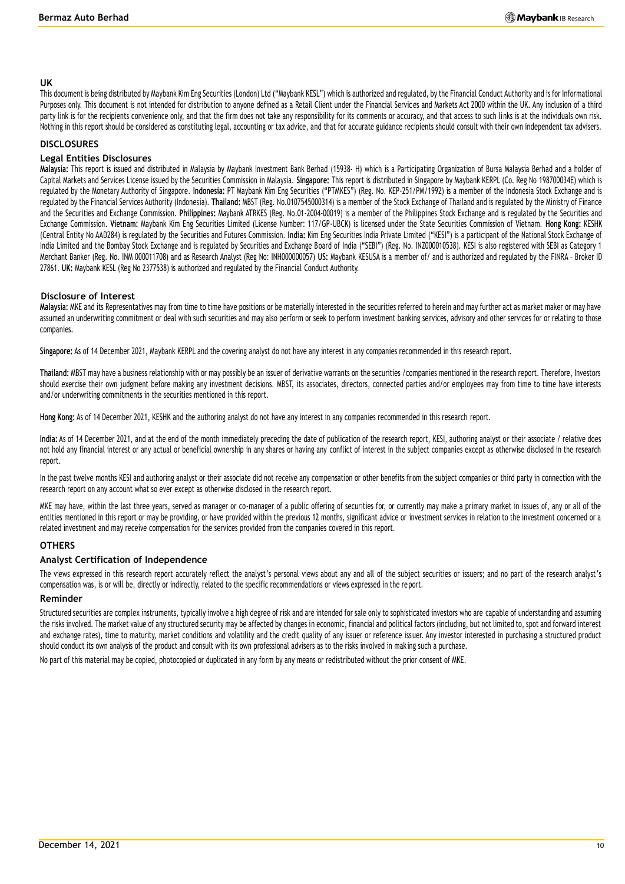#### **UK**

This document is being distributed by Maybank Kim Eng Securities (London) Ltd ("Maybank KESL") which is authorized and regulated, by the Financial Conduct Authority and is for Informational Purposes only. This document is not intended for distribution to anyone defined as a Retail Client under the Financial Services and Markets Act 2000 within the UK. Any inclusion of a third party link is for the recipients convenience only, and that the firm does not take any responsibility for its comments or accuracy, and that access to such links is at the individuals own risk. Nothing in this report should be considered as constituting legal, accounting or tax advice, and that for accurate guidance recipients should consult with their own independent tax advisers.

### **DISCLOSURES**

#### **Legal Entities Disclosures**

**Malaysia:** This report is issued and distributed in Malaysia by Maybank Investment Bank Berhad (15938- H) which is a Participating Organization of Bursa Malaysia Berhad and a holder of Capital Markets and Services License issued by the Securities Commission in Malaysia. **Singapore:** This report is distributed in Singapore by Maybank KERPL (Co. Reg No 198700034E) which is regulated by the Monetary Authority of Singapore. **Indonesia:** PT Maybank Kim Eng Securities ("PTMKES") (Reg. No. KEP-251/PM/1992) is a member of the Indonesia Stock Exchange and is regulated by the Financial Services Authority (Indonesia). **Thailand:** MBST (Reg. No.0107545000314) is a member of the Stock Exchange of Thailand and is regulated by the Ministry of Finance and the Securities and Exchange Commission. **Philippines:** Maybank ATRKES (Reg. No.01-2004-00019) is a member of the Philippines Stock Exchange and is regulated by the Securities and Exchange Commission. **Vietnam:** Maybank Kim Eng Securities Limited (License Number: 117/GP-UBCK) is licensed under the State Securities Commission of Vietnam. **Hong Kong:** KESHK (Central Entity No AAD284) is regulated by the Securities and Futures Commission. **India:** Kim Eng Securities India Private Limited ("KESI") is a participant of the National Stock Exchange of India Limited and the Bombay Stock Exchange and is regulated by Securities and Exchange Board of India ("SEBI") (Reg. No. INZ000010538). KESI is also registered with SEBI as Category 1 Merchant Banker (Reg. No. INM 000011708) and as Research Analyst (Reg No: INH000000057) **US:** Maybank KESUSA is a member of/ and is authorized and regulated by the FINRA – Broker ID 27861. **UK:** Maybank KESL (Reg No 2377538) is authorized and regulated by the Financial Conduct Authority.

#### **Disclosure of Interest**

**Malaysia:** MKE and its Representatives may from time to time have positions or be materially interested in the securities referred to herein and may further act as market maker or may have assumed an underwriting commitment or deal with such securities and may also perform or seek to perform investment banking services, advisory and other services for or relating to those companies.

**Singapore:** As of 14 December 2021, Maybank KERPL and the covering analyst do not have any interest in any companies recommended in this research report.

**Thailand:** MBST may have a business relationship with or may possibly be an issuer of derivative warrants on the securities /companies mentioned in the research report. Therefore, Investors should exercise their own judgment before making any investment decisions. MBST, its associates, directors, connected parties and/or employees may from time to time have interests and/or underwriting commitments in the securities mentioned in this report.

**Hong Kong:** As of 14 December 2021, KESHK and the authoring analyst do not have any interest in any companies recommended in this research report.

**India:** As of 14 December 2021, and at the end of the month immediately preceding the date of publication of the research report, KESI, authoring analyst or their associate / relative does not hold any financial interest or any actual or beneficial ownership in any shares or having any conflict of interest in the subject companies except as otherwise disclosed in the research report.

In the past twelve months KESI and authoring analyst or their associate did not receive any compensation or other benefits from the subject companies or third party in connection with the research report on any account what so ever except as otherwise disclosed in the research report.

MKE may have, within the last three years, served as manager or co-manager of a public offering of securities for, or currently may make a primary market in issues of, any or all of the entities mentioned in this report or may be providing, or have provided within the previous 12 months, significant advice or investment services in relation to the investment concerned or a related investment and may receive compensation for the services provided from the companies covered in this report.

## **OTHERS**

#### **Analyst Certification of Independence**

The views expressed in this research report accurately reflect the analyst's personal views about any and all of the subject securities or issuers; and no part of the research analyst's compensation was, is or will be, directly or indirectly, related to the specific recommendations or views expressed in the report.

#### **Reminder**

Structured securities are complex instruments, typically involve a high degree of risk and are intended for sale only to sophisticated investors who are capable of understanding and assuming the risks involved. The market value of any structured security may be affected by changes in economic, financial and political factors (including, but not limited to, spot and forward interest and exchange rates), time to maturity, market conditions and volatility and the credit quality of any issuer or reference issuer. Any investor interested in purchasing a structured product should conduct its own analysis of the product and consult with its own professional advisers as to the risks involved in mak ing such a purchase.

No part of this material may be copied, photocopied or duplicated in any form by any means or redistributed without the prior consent of MKE.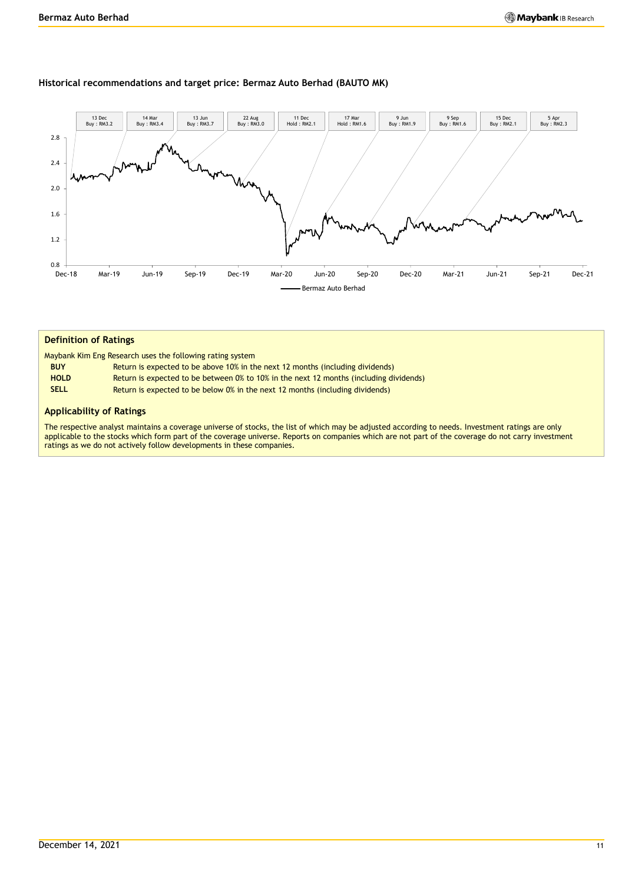#### **Historical recommendations and target price: Bermaz Auto Berhad (BAUTO MK)**



#### **Definition of Ratings**

|  |  |  | Maybank Kim Eng Research uses the following rating system |  |
|--|--|--|-----------------------------------------------------------|--|
|  |  |  |                                                           |  |

- **BUY** Return is expected to be above 10% in the next 12 months (including dividends)
- **HOLD** Return is expected to be between 0% to 10% in the next 12 months (including dividends)
- **SELL** Return is expected to be below 0% in the next 12 months (including dividends)

#### **Applicability of Ratings**

The respective analyst maintains a coverage universe of stocks, the list of which may be adjusted according to needs. Investment ratings are only applicable to the stocks which form part of the coverage universe. Reports on companies which are not part of the coverage do not carry investment ratings as we do not actively follow developments in these companies.